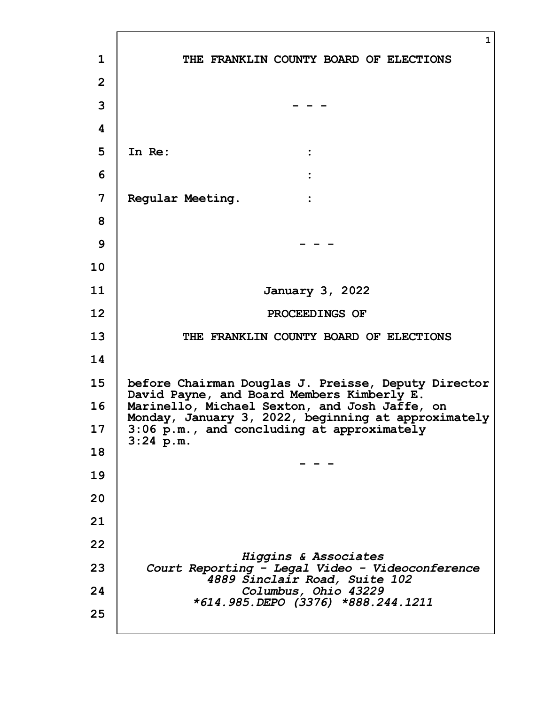|                | $\mathbf{1}$                                                                                         |
|----------------|------------------------------------------------------------------------------------------------------|
| $\mathbf{1}$   | THE FRANKLIN COUNTY BOARD OF ELECTIONS                                                               |
| $\overline{2}$ |                                                                                                      |
| 3              |                                                                                                      |
| 4              |                                                                                                      |
| 5              | In Re:                                                                                               |
| 6              |                                                                                                      |
| 7              | Regular Meeting.<br>$\ddot{\cdot}$                                                                   |
| 8              |                                                                                                      |
| 9              |                                                                                                      |
| 10             |                                                                                                      |
| 11             | January 3, 2022                                                                                      |
| 12             | PROCEEDINGS OF                                                                                       |
| 13             | THE FRANKLIN COUNTY BOARD OF ELECTIONS                                                               |
| 14             |                                                                                                      |
| 15             | before Chairman Douglas J. Preisse, Deputy Director<br>David Payne, and Board Members Kimberly E.    |
| 16             | Marinello, Michael Sexton, and Josh Jaffe, on<br>Monday, January 3, 2022, beginning at approximately |
| 17             | 3:06 p.m., and concluding at approximately<br>$3:24$ p.m.                                            |
| 18             |                                                                                                      |
| 19             |                                                                                                      |
| 20             |                                                                                                      |
| 21             |                                                                                                      |
| 22             | Higgins & Associates                                                                                 |
| 23             | Court Reporting - Legal Video - Videoconference<br>4889 Sinclair Road, Suite 102                     |
| 24             | Columbus, Ohio 43229<br>*614.985.DEPO (3376) *888.244.1211                                           |
| 25             |                                                                                                      |
|                |                                                                                                      |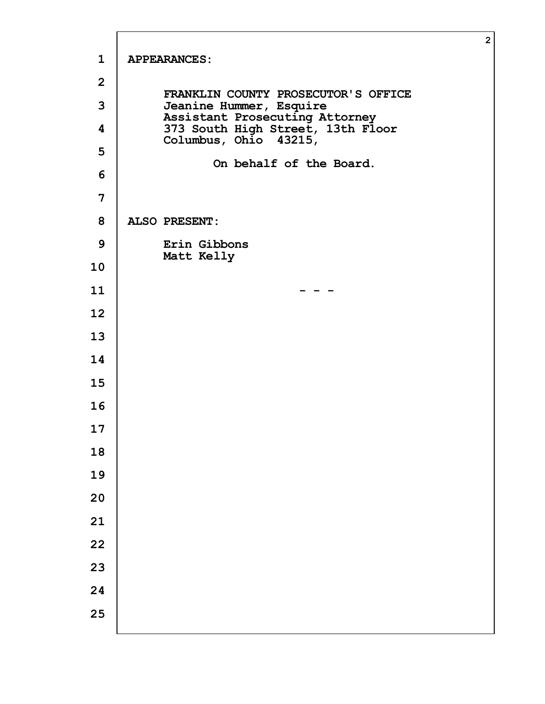|                         |                                                            | $\overline{2}$ |
|-------------------------|------------------------------------------------------------|----------------|
| $\mathbf{1}$            | <b>APPEARANCES:</b>                                        |                |
| $\overline{2}$          | FRANKLIN COUNTY PROSECUTOR'S OFFICE                        |                |
| 3                       | Jeanine Hummer, Esquire<br>Assistant Prosecuting Attorney  |                |
| $\overline{\mathbf{4}}$ | 373 South High Street, 13th Floor<br>Columbus, Ohio 43215, |                |
| 5                       | On behalf of the Board.                                    |                |
| 6                       |                                                            |                |
| 7                       |                                                            |                |
| 8                       | <b>ALSO PRESENT:</b>                                       |                |
| 9                       | Erin Gibbons                                               |                |
| 10                      | Matt Kelly                                                 |                |
| 11                      |                                                            |                |
| 12                      |                                                            |                |
| 13                      |                                                            |                |
| 14                      |                                                            |                |
| 15                      |                                                            |                |
| 16                      |                                                            |                |
| 17                      |                                                            |                |
| 18                      |                                                            |                |
| 19                      |                                                            |                |
| 20                      |                                                            |                |
| 21                      |                                                            |                |
| 22                      |                                                            |                |
| 23                      |                                                            |                |
| 24                      |                                                            |                |
| 25                      |                                                            |                |
|                         |                                                            |                |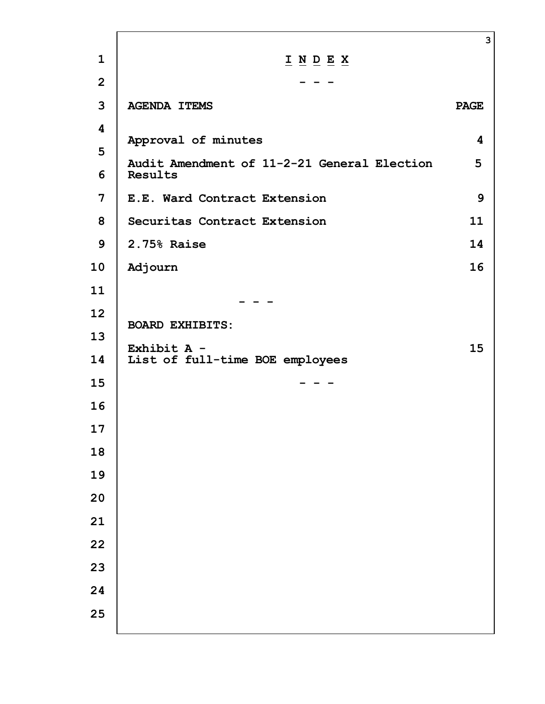|                                              |                                                                                                                      | 3           |
|----------------------------------------------|----------------------------------------------------------------------------------------------------------------------|-------------|
| $\mathbf{1}$                                 | $\underline{\textbf{I}} \underline{\textbf{N}} \underline{\textbf{D}} \underline{\textbf{E}} \underline{\textbf{X}}$ |             |
| $\overline{2}$                               |                                                                                                                      |             |
| 3                                            | <b>AGENDA ITEMS</b>                                                                                                  | <b>PAGE</b> |
| $\overline{\mathbf{4}}$<br>5<br>6            | Approval of minutes<br>Audit Amendment of 11-2-21 General Election<br>Results                                        | 4<br>5      |
| 7                                            | E.E. Ward Contract Extension                                                                                         | 9           |
| 8                                            | Securitas Contract Extension                                                                                         | 11          |
| 9                                            | 2.75% Raise                                                                                                          | 14          |
| 10                                           | Adjourn                                                                                                              | 16          |
| 11                                           |                                                                                                                      |             |
| 12<br>13<br>14<br>15<br>16<br>17<br>18<br>19 | <b>BOARD EXHIBITS:</b><br>Exhibit A -<br>List of full-time BOE employees                                             | 15          |
| 20<br>21<br>22<br>23<br>24<br>25             |                                                                                                                      |             |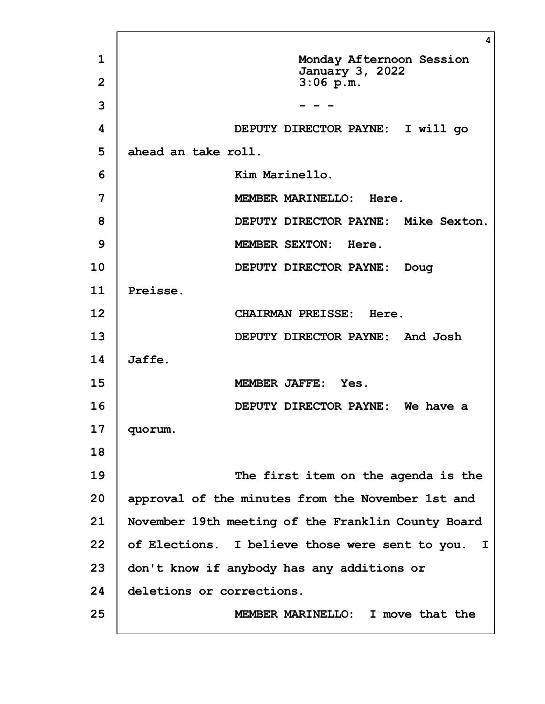|                | 4                                                  |
|----------------|----------------------------------------------------|
| $\mathbf{1}$   | Monday Afternoon Session<br><b>January 3, 2022</b> |
| $\overline{2}$ | $3:06$ p.m.                                        |
| 3              |                                                    |
| 4              | DEPUTY DIRECTOR PAYNE: I will go                   |
| 5              | ahead an take roll.                                |
| 6              | Kim Marinello.                                     |
| 7              | MEMBER MARINELLO: Here.                            |
| 8              | DEPUTY DIRECTOR PAYNE: Mike Sexton.                |
| 9              | MEMBER SEXTON: Here.                               |
| 10             | DEPUTY DIRECTOR PAYNE: Doug                        |
| 11             | Preisse.                                           |
| 12             | CHAIRMAN PREISSE: Here.                            |
| 13             | DEPUTY DIRECTOR PAYNE: And Josh                    |
| 14             | Jaffe.                                             |
| 15             | MEMBER JAFFE: Yes.                                 |
| 16             | DEPUTY DIRECTOR PAYNE: We have a                   |
| 17             | quorum.                                            |
| 18             |                                                    |
| 19             | The first item on the agenda is the                |
| 20             | approval of the minutes from the November 1st and  |
| 21             | November 19th meeting of the Franklin County Board |
| 22             | of Elections. I believe those were sent to you. I  |
| 23             | don't know if anybody has any additions or         |
| 24             | deletions or corrections.                          |
| 25             | MEMBER MARINELLO: I move that the                  |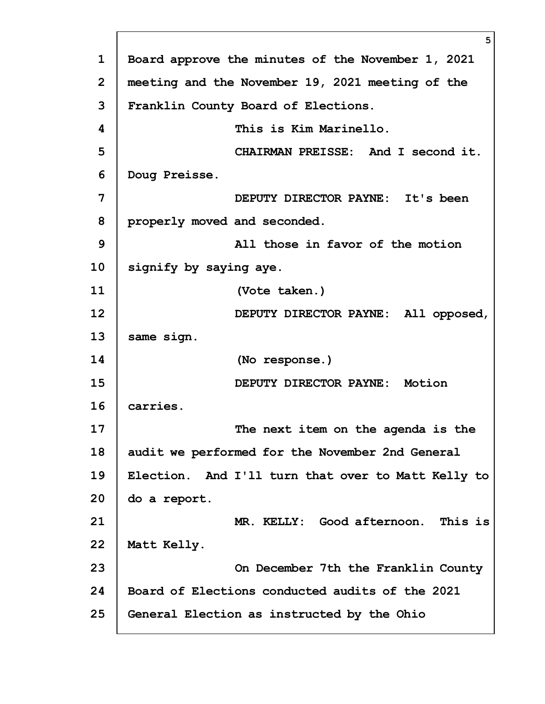|                | 5                                                  |
|----------------|----------------------------------------------------|
| $\mathbf{1}$   | Board approve the minutes of the November 1, 2021  |
| $\overline{2}$ | meeting and the November 19, 2021 meeting of the   |
| 3              | Franklin County Board of Elections.                |
| 4              | This is Kim Marinello.                             |
| 5              | CHAIRMAN PREISSE: And I second it.                 |
| 6              | Doug Preisse.                                      |
| 7              | DEPUTY DIRECTOR PAYNE: It's been                   |
| 8              | properly moved and seconded.                       |
| 9              | All those in favor of the motion                   |
| 10             | signify by saying aye.                             |
| 11             | (Vote taken.)                                      |
| 12             | DEPUTY DIRECTOR PAYNE: All opposed,                |
| 13             | same sign.                                         |
| 14             | (No response.)                                     |
| 15             | DEPUTY DIRECTOR PAYNE: Motion                      |
| 16             | carries.                                           |
| 17             | The next item on the agenda is the                 |
| 18             | audit we performed for the November 2nd General    |
| 19             | Election. And I'll turn that over to Matt Kelly to |
| 20             | do a report.                                       |
| 21             | MR. KELLY: Good afternoon. This is                 |
| 22             | Matt Kelly.                                        |
| 23             | On December 7th the Franklin County                |
| 24             | Board of Elections conducted audits of the 2021    |
| 25             | General Election as instructed by the Ohio         |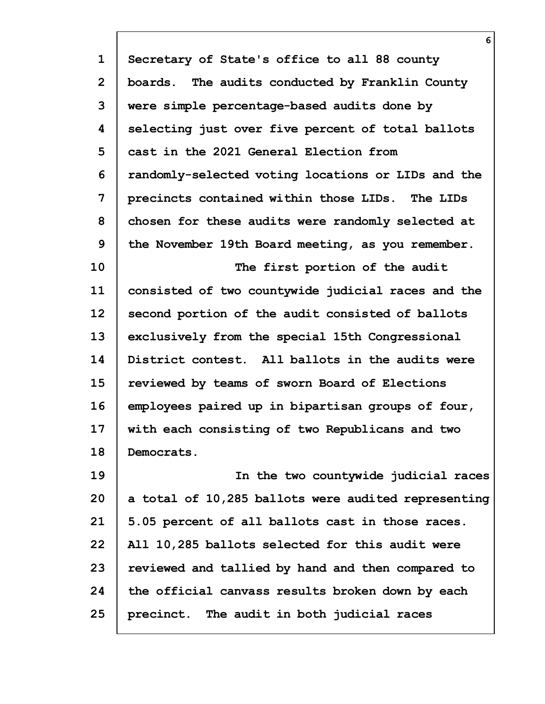| $\mathbf{1}$   | Secretary of State's office to all 88 county        |
|----------------|-----------------------------------------------------|
| $\overline{2}$ | boards. The audits conducted by Franklin County     |
| 3              | were simple percentage-based audits done by         |
| 4              | selecting just over five percent of total ballots   |
| 5              | cast in the 2021 General Election from              |
| 6              | randomly-selected voting locations or LIDs and the  |
| 7              | precincts contained within those LIDs. The LIDs     |
| 8              | chosen for these audits were randomly selected at   |
| 9              | the November 19th Board meeting, as you remember.   |
| 10             | The first portion of the audit                      |
| 11             | consisted of two countywide judicial races and the  |
| 12             | second portion of the audit consisted of ballots    |
| 13             | exclusively from the special 15th Congressional     |
| 14             | District contest. All ballots in the audits were    |
| 15             | reviewed by teams of sworn Board of Elections       |
| 16             | employees paired up in bipartisan groups of four,   |
| 17             | with each consisting of two Republicans and two     |
| 18             | Democrats.                                          |
| 19             | In the two countywide judicial races                |
| 20             | a total of 10,285 ballots were audited representing |
| 21             | 5.05 percent of all ballots cast in those races.    |
| 22             | All 10,285 ballots selected for this audit were     |
| 23             | reviewed and tallied by hand and then compared to   |
| 24             | the official canvass results broken down by each    |
| 25             | precinct. The audit in both judicial races          |

**6**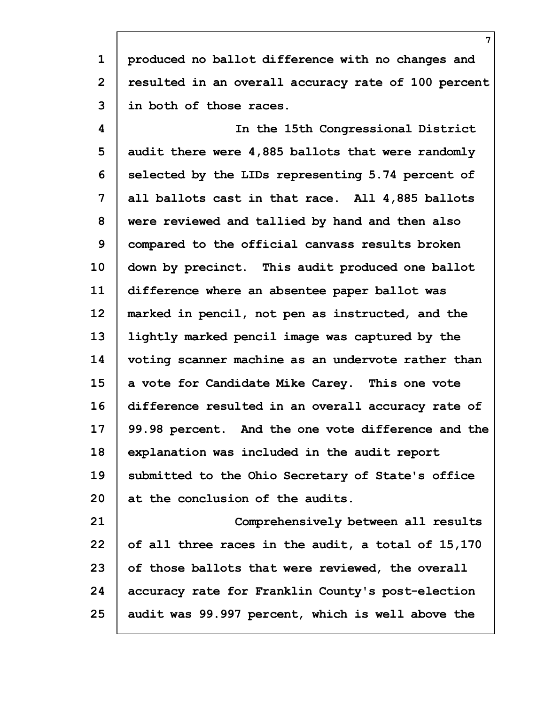**1 2 3 produced no ballot difference with no changes and resulted in an overall accuracy rate of 100 percent in both of those races.**

**4 5 6 7 8 9 10 11 12 13 14 15 16 17 18 19 20 21 In the 15th Congressional District audit there were 4,885 ballots that were randomly selected by the LIDs representing 5.74 percent of all ballots cast in that race. All 4,885 ballots were reviewed and tallied by hand and then also compared to the official canvass results broken down by precinct. This audit produced one ballot difference where an absentee paper ballot was marked in pencil, not pen as instructed, and the lightly marked pencil image was captured by the voting scanner machine as an undervote rather than a vote for Candidate Mike Carey. This one vote difference resulted in an overall accuracy rate of 99.98 percent. And the one vote difference and the explanation was included in the audit report submitted to the Ohio Secretary of State's office at the conclusion of the audits. Comprehensively between all results**

**22 23 24 25 of all three races in the audit, a total of 15,170 of those ballots that were reviewed, the overall accuracy rate for Franklin County's post-election audit was 99.997 percent, which is well above the**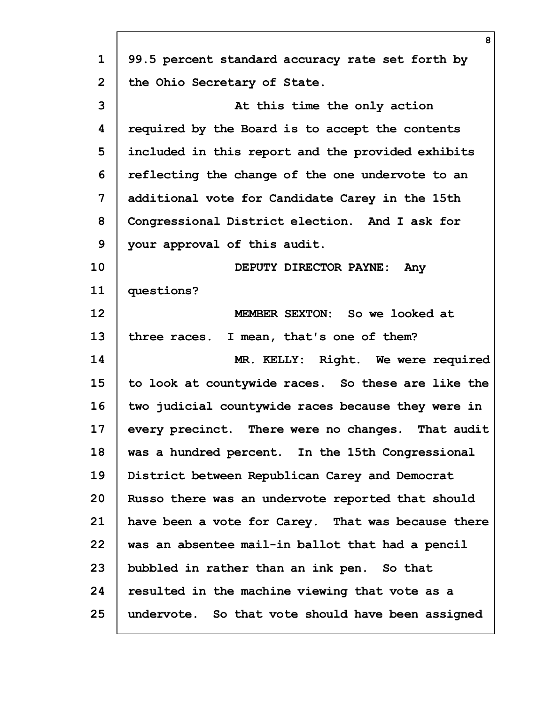|                | 8                                                  |
|----------------|----------------------------------------------------|
| $\mathbf{1}$   | 99.5 percent standard accuracy rate set forth by   |
| $\overline{2}$ | the Ohio Secretary of State.                       |
| 3              | At this time the only action                       |
| 4              | required by the Board is to accept the contents    |
| 5              | included in this report and the provided exhibits  |
| 6              | reflecting the change of the one undervote to an   |
| 7              | additional vote for Candidate Carey in the 15th    |
| 8              | Congressional District election. And I ask for     |
| 9              | your approval of this audit.                       |
| 10             | DEPUTY DIRECTOR PAYNE:<br>Any                      |
| 11             | questions?                                         |
| 12             | MEMBER SEXTON: So we looked at                     |
| 13             | three races. I mean, that's one of them?           |
| 14             | MR. KELLY: Right. We were required                 |
| 15             | to look at countywide races. So these are like the |
| 16             | two judicial countywide races because they were in |
| 17             | every precinct. There were no changes. That audit  |
| 18             | was a hundred percent. In the 15th Congressional   |
| 19             | District between Republican Carey and Democrat     |
| 20             | Russo there was an undervote reported that should  |
| 21             | have been a vote for Carey. That was because there |
| 22             | was an absentee mail-in ballot that had a pencil   |
| 23             | bubbled in rather than an ink pen. So that         |
| 24             | resulted in the machine viewing that vote as a     |
| 25             | undervote. So that vote should have been assigned  |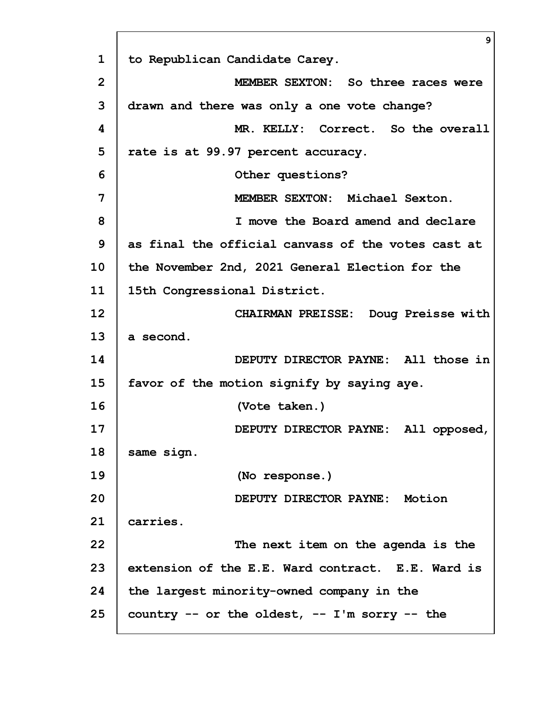**1 2 3 4 5 6 7 8 9 10 11 12 13 14 15 16 17 18 19 20 21 22 23 24 25 9 to Republican Candidate Carey. MEMBER SEXTON: So three races were drawn and there was only a one vote change? MR. KELLY: Correct. So the overall rate is at 99.97 percent accuracy. Other questions? MEMBER SEXTON: Michael Sexton. I move the Board amend and declare as final the official canvass of the votes cast at the November 2nd, 2021 General Election for the 15th Congressional District. CHAIRMAN PREISSE: Doug Preisse with a second. DEPUTY DIRECTOR PAYNE: All those in favor of the motion signify by saying aye. (Vote taken.) DEPUTY DIRECTOR PAYNE: All opposed, same sign. (No response.) DEPUTY DIRECTOR PAYNE: Motion carries. The next item on the agenda is the extension of the E.E. Ward contract. E.E. Ward is the largest minority-owned company in the country -- or the oldest, -- I'm sorry -- the**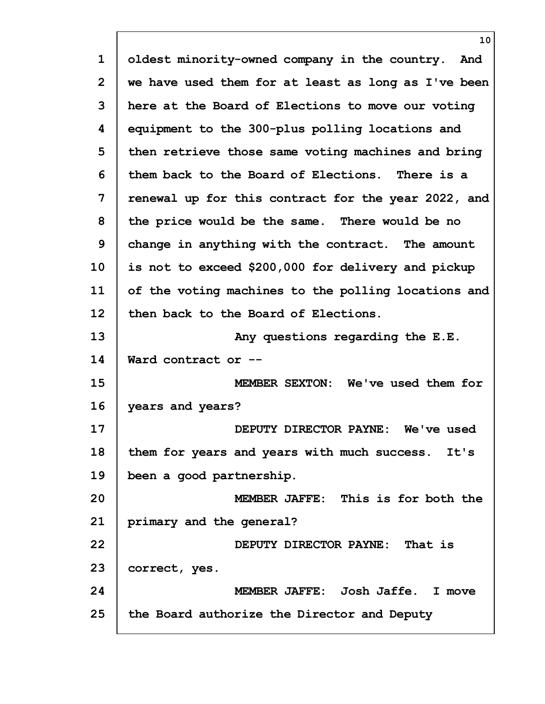| $\mathbf 1$    | oldest minority-owned company in the country. And   |
|----------------|-----------------------------------------------------|
| $\overline{2}$ | we have used them for at least as long as I've been |
| 3              | here at the Board of Elections to move our voting   |
| 4              | equipment to the 300-plus polling locations and     |
| 5              | then retrieve those same voting machines and bring  |
| 6              | them back to the Board of Elections. There is a     |
| 7              | renewal up for this contract for the year 2022, and |
| 8              | the price would be the same. There would be no      |
| 9              | change in anything with the contract. The amount    |
| 10             | is not to exceed \$200,000 for delivery and pickup  |
| 11             | of the voting machines to the polling locations and |
| 12             | then back to the Board of Elections.                |
| 13             | Any questions regarding the E.E.                    |
| 14             | Ward contract or --                                 |
| 15             | MEMBER SEXTON: We've used them for                  |
| 16             | years and years?                                    |
| 17             | DEPUTY DIRECTOR PAYNE: We've used                   |
| 18             | them for years and years with much success. It's    |
| 19             | been a good partnership.                            |
| 20             | MEMBER JAFFE: This is for both the                  |
| 21             | primary and the general?                            |
| 22             | DEPUTY DIRECTOR PAYNE: That is                      |
| 23             | correct, yes.                                       |
| 24             | MEMBER JAFFE: Josh Jaffe. I move                    |
| 25             | the Board authorize the Director and Deputy         |
|                |                                                     |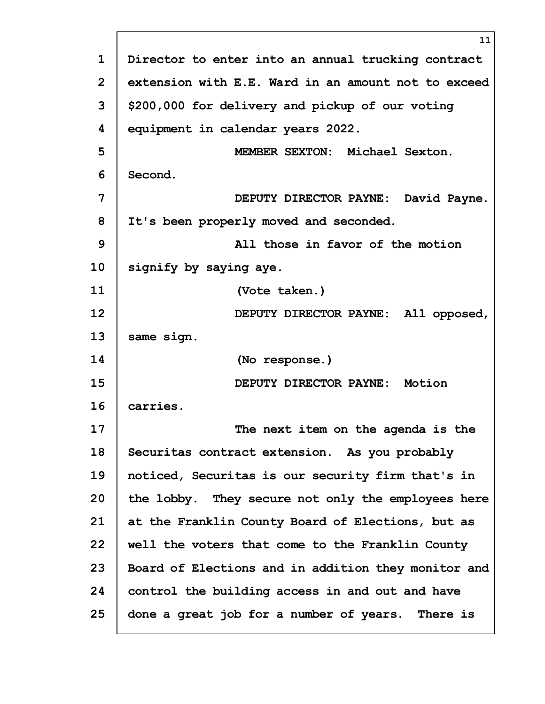|    | 11                                                  |
|----|-----------------------------------------------------|
| 1  | Director to enter into an annual trucking contract  |
| 2  | extension with E.E. Ward in an amount not to exceed |
| 3  | \$200,000 for delivery and pickup of our voting     |
| 4  | equipment in calendar years 2022.                   |
| 5  | MEMBER SEXTON: Michael Sexton.                      |
| 6  | Second.                                             |
| 7  | DEPUTY DIRECTOR PAYNE: David Payne.                 |
| 8  | It's been properly moved and seconded.              |
| 9  | All those in favor of the motion                    |
| 10 | signify by saying aye.                              |
| 11 | (Vote taken.)                                       |
| 12 | DEPUTY DIRECTOR PAYNE: All opposed,                 |
| 13 | same sign.                                          |
| 14 | (No response.)                                      |
| 15 | DEPUTY DIRECTOR PAYNE: Motion                       |
| 16 | carries.                                            |
| 17 | The next item on the agenda is the                  |
| 18 | Securitas contract extension. As you probably       |
| 19 | noticed, Securitas is our security firm that's in   |
| 20 | the lobby. They secure not only the employees here  |
| 21 | at the Franklin County Board of Elections, but as   |
| 22 | well the voters that come to the Franklin County    |
| 23 | Board of Elections and in addition they monitor and |
| 24 | control the building access in and out and have     |
| 25 | done a great job for a number of years. There is    |

Г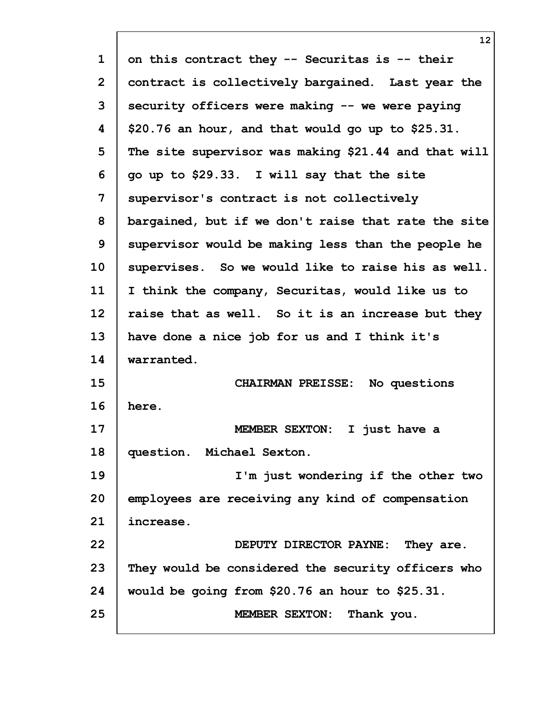| $\mathbf 1$  | on this contract they -- Securitas is -- their       |
|--------------|------------------------------------------------------|
| $\mathbf{2}$ | contract is collectively bargained. Last year the    |
| 3            | security officers were making -- we were paying      |
| 4            | \$20.76 an hour, and that would go up to \$25.31.    |
| 5            | The site supervisor was making \$21.44 and that will |
| 6            | go up to \$29.33. I will say that the site           |
| 7            | supervisor's contract is not collectively            |
| 8            | bargained, but if we don't raise that rate the site  |
| 9            | supervisor would be making less than the people he   |
| 10           | supervises. So we would like to raise his as well.   |
| 11           | I think the company, Securitas, would like us to     |
| 12           | raise that as well. So it is an increase but they    |
| 13           | have done a nice job for us and I think it's         |
| 14           | warranted.                                           |
| 15           | CHAIRMAN PREISSE: No questions                       |
| 16           | here.                                                |
| 17           | MEMBER SEXTON: I just have a                         |
| 18           | question. Michael Sexton.                            |
| 19           | I'm just wondering if the other two                  |
| 20           | employees are receiving any kind of compensation     |
| 21           | increase.                                            |
| 22           | DEPUTY DIRECTOR PAYNE: They are.                     |
| 23           | They would be considered the security officers who   |
| 24           | would be going from \$20.76 an hour to \$25.31.      |
| 25           | MEMBER SEXTON: Thank you.                            |
|              |                                                      |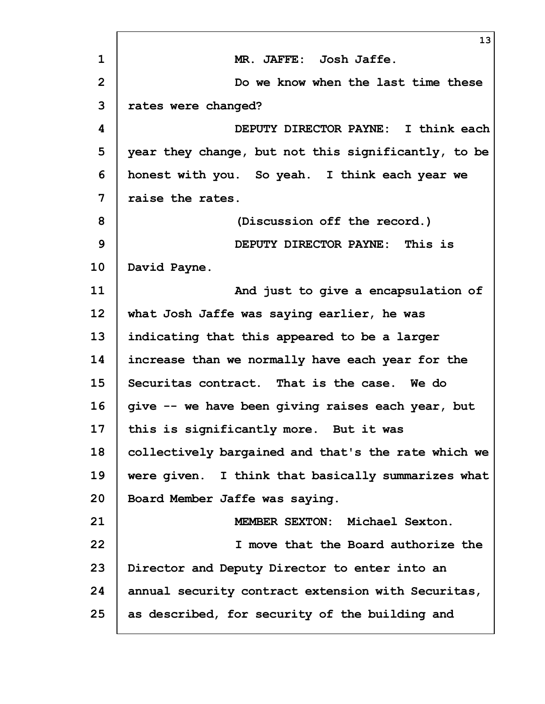|                | 13                                                  |
|----------------|-----------------------------------------------------|
| $\mathbf 1$    | MR. JAFFE: Josh Jaffe.                              |
| $\overline{2}$ | Do we know when the last time these                 |
| 3              | rates were changed?                                 |
| 4              | DEPUTY DIRECTOR PAYNE: I think each                 |
| 5              | year they change, but not this significantly, to be |
| 6              | honest with you. So yeah. I think each year we      |
| 7              | raise the rates.                                    |
| 8              | (Discussion off the record.)                        |
| 9              | DEPUTY DIRECTOR PAYNE: This is                      |
| 10             | David Payne.                                        |
| 11             | And just to give a encapsulation of                 |
| 12             | what Josh Jaffe was saying earlier, he was          |
| 13             | indicating that this appeared to be a larger        |
| 14             | increase than we normally have each year for the    |
| 15             | Securitas contract. That is the case. We do         |
| 16             | give -- we have been giving raises each year, but   |
| 17             | this is significantly more. But it was              |
| 18             | collectively bargained and that's the rate which we |
| 19             | were given. I think that basically summarizes what  |
| 20             | Board Member Jaffe was saying.                      |
| 21             | MEMBER SEXTON: Michael Sexton.                      |
| 22             | I move that the Board authorize the                 |
| 23             | Director and Deputy Director to enter into an       |
| 24             | annual security contract extension with Securitas,  |
| 25             | as described, for security of the building and      |
|                |                                                     |

 $\overline{\phantom{0}}$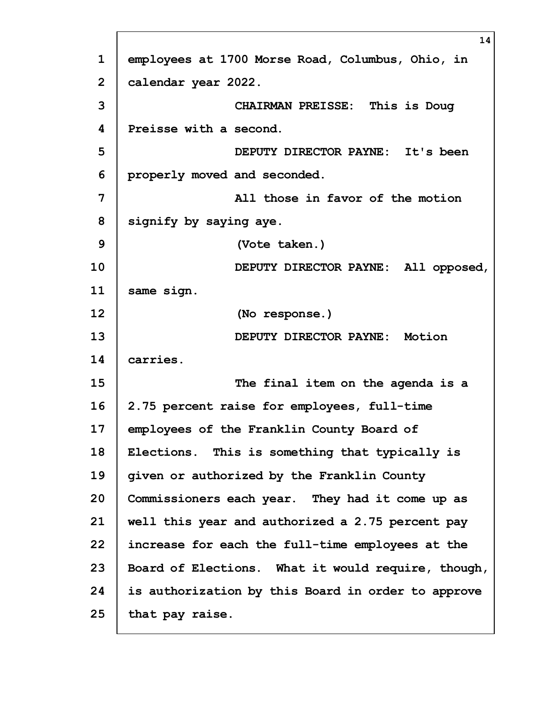|                | 14                                                 |
|----------------|----------------------------------------------------|
| $\mathbf 1$    | employees at 1700 Morse Road, Columbus, Ohio, in   |
| $\overline{2}$ | calendar year 2022.                                |
| 3              | CHAIRMAN PREISSE: This is Doug                     |
| 4              | Preisse with a second.                             |
| 5              | DEPUTY DIRECTOR PAYNE: It's been                   |
| 6              | properly moved and seconded.                       |
| 7              | All those in favor of the motion                   |
| 8              | signify by saying aye.                             |
| 9              | (Vote taken.)                                      |
| 10             | DEPUTY DIRECTOR PAYNE: All opposed,                |
| 11             | same sign.                                         |
| 12             | (No response.)                                     |
| 13             | DEPUTY DIRECTOR PAYNE: Motion                      |
| 14             | carries.                                           |
| 15             | The final item on the agenda is a                  |
| 16             | 2.75 percent raise for employees, full-time        |
| 17             | employees of the Franklin County Board of          |
| 18             | Elections. This is something that typically is     |
| 19             | given or authorized by the Franklin County         |
| 20             | Commissioners each year. They had it come up as    |
| 21             | well this year and authorized a 2.75 percent pay   |
| 22             | increase for each the full-time employees at the   |
| 23             | Board of Elections. What it would require, though, |
| 24             | is authorization by this Board in order to approve |
| 25             | that pay raise.                                    |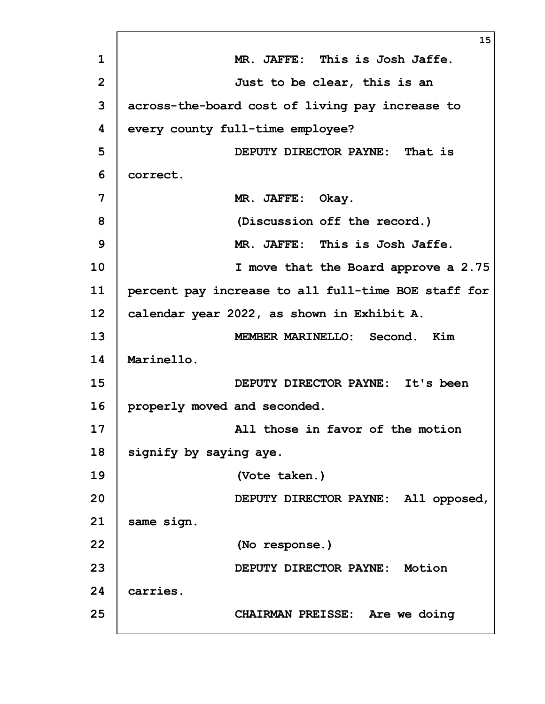|                 | 15                                                  |
|-----------------|-----------------------------------------------------|
| $\mathbf{1}$    | MR. JAFFE: This is Josh Jaffe.                      |
| $\overline{2}$  | Just to be clear, this is an                        |
| 3               | across-the-board cost of living pay increase to     |
| 4               | every county full-time employee?                    |
| 5               | DEPUTY DIRECTOR PAYNE: That is                      |
| 6               | correct.                                            |
| $\overline{7}$  | MR. JAFFE: Okay.                                    |
| 8               | (Discussion off the record.)                        |
| $\mathbf{9}$    | MR. JAFFE: This is Josh Jaffe.                      |
| 10              | I move that the Board approve a 2.75                |
| 11              | percent pay increase to all full-time BOE staff for |
| 12 <sub>2</sub> | calendar year 2022, as shown in Exhibit A.          |
| 13              | MEMBER MARINELLO: Second. Kim                       |
| 14              | Marinello.                                          |
| 15              | DEPUTY DIRECTOR PAYNE: It's been                    |
| 16              | properly moved and seconded.                        |
| 17              | All those in favor of the motion                    |
| 18              | signify by saying aye.                              |
| 19              | (Vote taken.)                                       |
| 20              | DEPUTY DIRECTOR PAYNE: All opposed,                 |
| 21              | same sign.                                          |
| 22              | (No response.)                                      |
| 23              | DEPUTY DIRECTOR PAYNE: Motion                       |
| 24              | carries.                                            |
| 25              | CHAIRMAN PREISSE: Are we doing                      |
|                 |                                                     |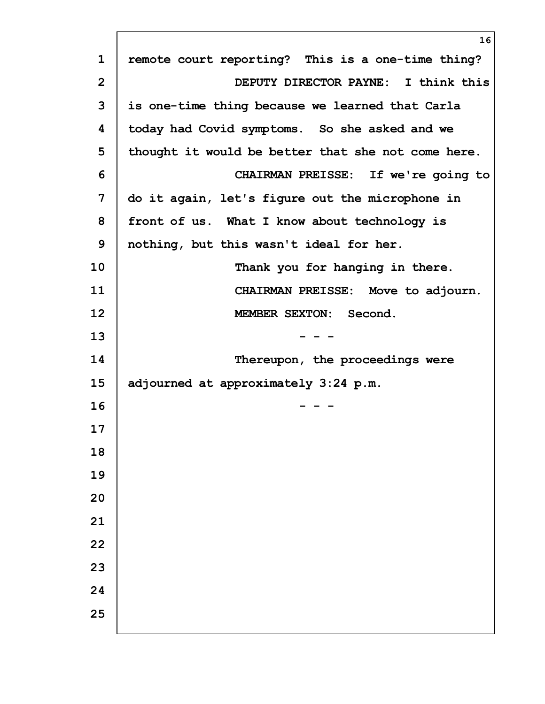|                | 16                                                 |
|----------------|----------------------------------------------------|
| $\mathbf{1}$   | remote court reporting? This is a one-time thing?  |
| $\overline{2}$ | DEPUTY DIRECTOR PAYNE: I think this                |
| 3              | is one-time thing because we learned that Carla    |
| 4              | today had Covid symptoms. So she asked and we      |
| 5              | thought it would be better that she not come here. |
| 6              | CHAIRMAN PREISSE: If we're going to                |
| 7              | do it again, let's figure out the microphone in    |
| 8              | front of us. What I know about technology is       |
| 9              | nothing, but this wasn't ideal for her.            |
| 10             | Thank you for hanging in there.                    |
| 11             | CHAIRMAN PREISSE: Move to adjourn.                 |
| 12             | MEMBER SEXTON: Second.                             |
| 13             |                                                    |
| 14             | Thereupon, the proceedings were                    |
| 15             | adjourned at approximately 3:24 p.m.               |
| 16             |                                                    |
| 17             |                                                    |
| 18             |                                                    |
| 19             |                                                    |
| 20             |                                                    |
| 21             |                                                    |
| 22             |                                                    |
| 23             |                                                    |
| 24             |                                                    |
| 25             |                                                    |
|                |                                                    |